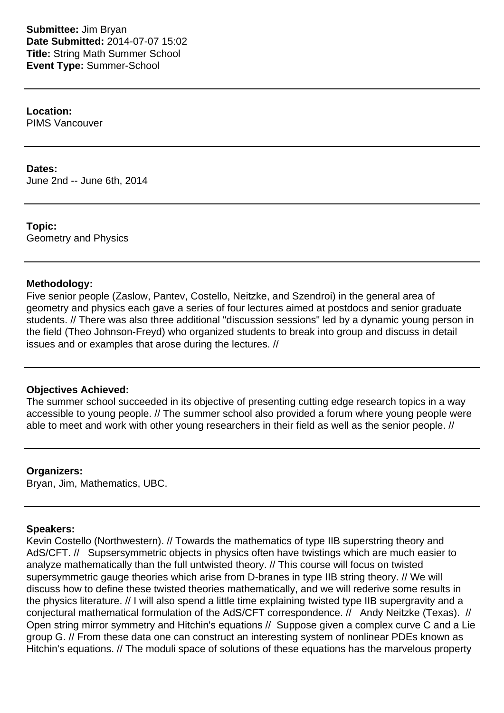**Submittee:** Jim Bryan **Date Submitted:** 2014-07-07 15:02 **Title:** String Math Summer School **Event Type:** Summer-School

**Location:** PIMS Vancouver

### **Dates:**

June 2nd -- June 6th, 2014

**Topic:** Geometry and Physics

## **Methodology:**

Five senior people (Zaslow, Pantev, Costello, Neitzke, and Szendroi) in the general area of geometry and physics each gave a series of four lectures aimed at postdocs and senior graduate students. // There was also three additional "discussion sessions" led by a dynamic young person in the field (Theo Johnson-Freyd) who organized students to break into group and discuss in detail issues and or examples that arose during the lectures. //

# **Objectives Achieved:**

The summer school succeeded in its objective of presenting cutting edge research topics in a way accessible to young people. // The summer school also provided a forum where young people were able to meet and work with other young researchers in their field as well as the senior people. //

### **Organizers:**

Bryan, Jim, Mathematics, UBC.

### **Speakers:**

Kevin Costello (Northwestern). // Towards the mathematics of type IIB superstring theory and AdS/CFT. // Supsersymmetric objects in physics often have twistings which are much easier to analyze mathematically than the full untwisted theory. // This course will focus on twisted supersymmetric gauge theories which arise from D-branes in type IIB string theory. // We will discuss how to define these twisted theories mathematically, and we will rederive some results in the physics literature. // I will also spend a little time explaining twisted type IIB supergravity and a conjectural mathematical formulation of the AdS/CFT correspondence. // Andy Neitzke (Texas). // Open string mirror symmetry and Hitchin's equations // Suppose given a complex curve C and a Lie group G. // From these data one can construct an interesting system of nonlinear PDEs known as Hitchin's equations. // The moduli space of solutions of these equations has the marvelous property